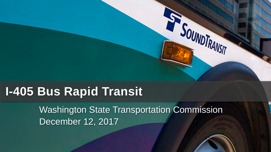## **I-405 Bus Rapid Transit**

Washington State Transportation Commission December 12, 2017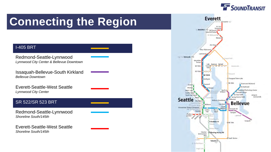

## **Connecting the Region**

#### I-405 BRT

Redmond-Seattle-Lynnwood *Lynnwood City Center & Bellevue Downtown*

Issaquah-Bellevue-South Kirkland *Bellevue Downtown* 

Everett-Seattle-West Seattle *Lynnwood City Center* 

#### SR 522/SR 523 BRT

Redmond-Seattle-Lynnwood *Shoreline South/145th*

Everett-Seattle-West Seattle *Shoreline South/145th*

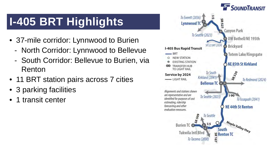## **I-405 BRT Highlights**

- 37-mile corridor: Lynnwood to Burien
	- North Corridor: Lynnwood to Bellevue
	- South Corridor: Bellevue to Burien, via Renton
- 11 BRT station pairs across 7 cities
- 3 parking facilities
- 1 transit center

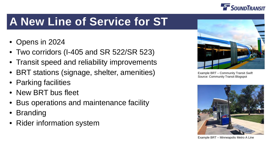

## **A New Line of Service for ST**

- Opens in 2024
- Two corridors (I-405 and SR 522/SR 523)
- Transit speed and reliability improvements
- BRT stations (signage, shelter, amenities)
- Parking facilities
- New BRT bus fleet
- Bus operations and maintenance facility
- Branding
- Rider information system



Example BRT – Community Transit *Swift*  Source: Community Transit Blogspot



Example BRT – Minneapolis Metro A Line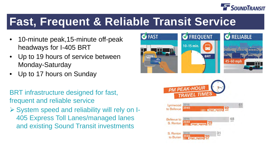

#### **Fast, Frequent & Reliable Transit Service**

- 10-minute peak,15-minute off-peak headways for I-405 BRT
- Up to 19 hours of service between Monday-Saturday
- Up to 17 hours on Sunday

BRT infrastructure designed for fast, frequent and reliable service

 System speed and reliability will rely on I-405 Express Toll Lanes/managed lanes and existing Sound Transit investments



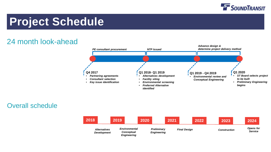

#### **Project Schedule**

#### 24 month look-ahead



#### Overall schedule